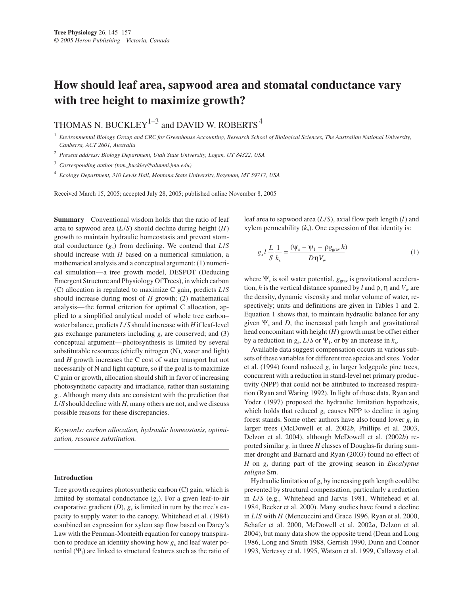# **How should leaf area, sapwood area and stomatal conductance vary with tree height to maximize growth?**

# THOMAS N. BUCKLEY<sup>1-3</sup> and DAVID W. ROBERTS<sup>4</sup>

<sup>1</sup> *Environmental Biology Group and CRC for Greenhouse Accounting, Research School of Biological Sciences, The Australian National University, Canberra, ACT 2601, Australia*

<sup>2</sup> *Present address: Biology Department, Utah State University, Logan, UT 84322, USA*

<sup>3</sup> *Corresponding author (tom\_buckley@alumni.jmu.edu)*

<sup>4</sup> *Ecology Department, 310 Lewis Hall, Montana State University, Bozeman, MT 59717, USA*

Received March 15, 2005; accepted July 28, 2005; published online November 8, 2005

**Summary** Conventional wisdom holds that the ratio of leaf area to sapwood area (*L*/*S*) should decline during height (*H*) growth to maintain hydraulic homeostasis and prevent stomatal conductance (*g*s) from declining. We contend that *L*/*S* should increase with *H* based on a numerical simulation, a mathematical analysis and a conceptual argument: (1) numerical simulation—a tree growth model, DESPOT (Deducing Emergent Structure and Physiology Of Trees), in which carbon (C) allocation is regulated to maximize C gain, predicts *L*/*S* should increase during most of *H* growth; (2) mathematical analysis—the formal criterion for optimal C allocation, applied to a simplified analytical model of whole tree carbon– water balance, predicts *L*/*S* should increase with *H* if leaf-level gas exchange parameters including *g*<sup>s</sup> are conserved; and (3) conceptual argument—photosynthesis is limited by several substitutable resources (chiefly nitrogen (N), water and light) and *H* growth increases the C cost of water transport but not necessarily of N and light capture, so if the goal is to maximize C gain or growth, allocation should shift in favor of increasing photosynthetic capacity and irradiance, rather than sustaining *g*s. Although many data are consistent with the prediction that *L*/*S* should decline with *H*, many others are not, and we discuss possible reasons for these discrepancies.

*Keywords: carbon allocation, hydraulic homeostasis, optimization, resource substitution.*

# **Introduction**

Tree growth requires photosynthetic carbon (C) gain, which is limited by stomatal conductance (*g*s). For a given leaf-to-air evaporative gradient (*D*), *g*<sup>s</sup> is limited in turn by the tree's capacity to supply water to the canopy. Whitehead et al. (1984) combined an expression for xylem sap flow based on Darcy's Law with the Penman-Monteith equation for canopy transpiration to produce an identity showing how  $g_s$  and leaf water potential  $(\Psi_1)$  are linked to structural features such as the ratio of leaf area to sapwood area (*L*/*S*), axial flow path length (*l*) and xylem permeability  $(k_s)$ . One expression of that identity is:

$$
g_s l \frac{L}{S} \frac{1}{k_s} = \frac{(\psi_s - \psi_1 - \rho g_{\text{grav}} h)}{D \eta V_{\text{w}}}
$$
(1)

where  $\Psi_s$  is soil water potential,  $g_{grav}$  is gravitational acceleration, *h* is the vertical distance spanned by *l* and  $ρ$ ,  $η$  and  $V<sub>w</sub>$  are the density, dynamic viscosity and molar volume of water, respectively; units and definitions are given in Tables 1 and 2. Equation 1 shows that, to maintain hydraulic balance for any given  $\Psi_s$  and *D*, the increased path length and gravitational head concomitant with height (*H*) growth must be offset either by a reduction in  $g_s$ , *L*/*S* or  $\Psi_1$ , or by an increase in  $k_s$ .

Available data suggest compensation occurs in various subsets of these variables for different tree species and sites. Yoder et al. (1994) found reduced *g*<sup>s</sup> in larger lodgepole pine trees, concurrent with a reduction in stand-level net primary productivity (NPP) that could not be attributed to increased respiration (Ryan and Waring 1992). In light of those data, Ryan and Yoder (1997) proposed the hydraulic limitation hypothesis, which holds that reduced  $g_s$  causes NPP to decline in aging forest stands. Some other authors have also found lower  $g_s$  in larger trees (McDowell et al. 2002*b*, Phillips et al. 2003, Delzon et al. 2004), although McDowell et al. (2002*b*) reported similar *g*<sup>s</sup> in three *H* classes of Douglas-fir during summer drought and Barnard and Ryan (2003) found no effect of *H* on *g*<sup>s</sup> during part of the growing season in *Eucalyptus saligna* Sm.

Hydraulic limitation of  $g<sub>s</sub>$  by increasing path length could be prevented by structural compensation, particularly a reduction in *L*/*S* (e.g., Whitehead and Jarvis 1981, Whitehead et al. 1984, Becker et al. 2000). Many studies have found a decline in *L*/*S* with *H* (Mencuccini and Grace 1996, Ryan et al. 2000, Schafer et al. 2000, McDowell et al. 2002*a*, Delzon et al. 2004), but many data show the opposite trend (Dean and Long 1986, Long and Smith 1988, Gerrish 1990, Dunn and Connor 1993, Vertessy et al. 1995, Watson et al. 1999, Callaway et al.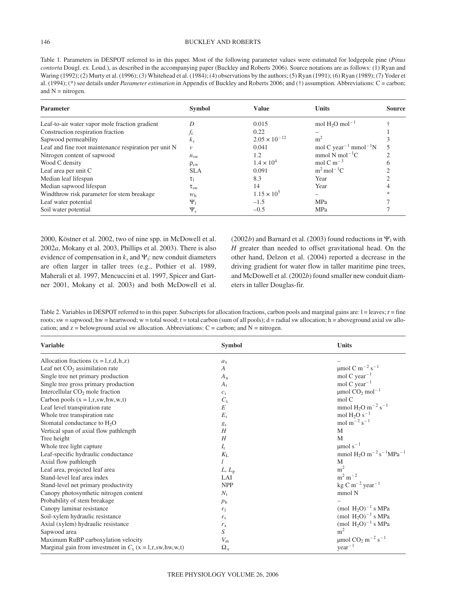# 146 BUCKLEY AND ROBERTS

Table 1. Parameters in DESPOT referred to in this paper. Most of the following parameter values were estimated for lodgepole pine (*Pinus contorta* Dougl. ex. Loud.), as described in the accompanying paper (Buckley and Roberts 2006). Source notations are as follows: (1) Ryan and Waring (1992); (2) Murty et al. (1996); (3) Whitehead et al. (1984); (4) observations by the authors; (5) Ryan (1991); (6) Ryan (1989); (7) Yoder et al. (1994); (\*) see details under *Parameter estimation* in Appendix of Buckley and Roberts 2006; and (†) assumption. Abbreviations: C = carbon; and  $N =$  nitrogen.

| <b>Parameter</b>                                      | <b>Symbol</b>   | <b>Value</b>           | <b>Units</b>                                  | <b>Source</b> |
|-------------------------------------------------------|-----------------|------------------------|-----------------------------------------------|---------------|
| Leaf-to-air water vapor mole fraction gradient        |                 | 0.015                  | mol $H_2O$ mol <sup>-1</sup>                  |               |
| Construction respiration fraction                     | Jc              | 0.22                   |                                               |               |
| Sapwood permeability                                  | $k_{s}$         | $2.05 \times 10^{-12}$ | m <sup>2</sup>                                |               |
| Leaf and fine root maintenance respiration per unit N | v               | 0.041                  | mol C year <sup>-1</sup> mmol <sup>-1</sup> N |               |
| Nitrogen content of sapwood                           | $n_{\rm sw}$    | 1.2                    | $mmol N mol-1C$                               |               |
| Wood C density                                        | $\rho_{\rm cw}$ | $1.4 \times 10^{4}$    | mol C m <sup><math>-3</math></sup>            |               |
| Leaf area per unit C                                  | <b>SLA</b>      | 0.091                  | $m^2$ mol <sup>-1</sup> C                     |               |
| Median leaf lifespan                                  | $\tau_1$        | 8.3                    | Year                                          |               |
| Median sapwood lifespan                               | $\tau_{\rm sw}$ | 14                     | Year                                          |               |
| Windthrow risk parameter for stem breakage            | W <sub>h</sub>  | $1.15 \times 10^{5}$   |                                               | *             |
| Leaf water potential                                  | $\Psi_1$        | $-1.5$                 | <b>MPa</b>                                    |               |
| Soil water potential                                  | $\Psi_{s}$      | $-0.5$                 | <b>MPa</b>                                    |               |

2000, Köstner et al. 2002, two of nine spp. in McDowell et al. 2002*a*, Mokany et al. 2003, Phillips et al. 2003). There is also evidence of compensation in  $k_s$  and  $\Psi_1$ : new conduit diameters are often larger in taller trees (e.g., Pothier et al. 1989, Maherali et al. 1997, Mencuccini et al. 1997, Spicer and Gartner 2001, Mokany et al. 2003) and both McDowell et al.

(2002*b*) and Barnard et al. (2003) found reductions in  $\Psi_1$  with *H* greater than needed to offset gravitational head. On the other hand, Delzon et al. (2004) reported a decrease in the driving gradient for water flow in taller maritime pine trees, and McDowell et al. (2002*b*) found smaller new conduit diameters in taller Douglas-fir.

Table 2. Variables in DESPOT referred to in this paper. Subscripts for allocation fractions, carbon pools and marginal gains are:  $l =$  leaves;  $r =$  fine roots; sw = sapwood; hw = heartwood; w = total wood; t = total carbon (sum of all pools); d = radial sw allocation; h = aboveground axial sw allocation; and  $z =$  belowground axial sw allocation. Abbreviations:  $C =$  carbon; and  $N =$  nitrogen.

| <b>Variable</b>                                                 | <b>Symbol</b>    | <b>Units</b>                                                            |
|-----------------------------------------------------------------|------------------|-------------------------------------------------------------------------|
| Allocation fractions $(x = 1, r, d, h, z)$                      | $a_{x}$          |                                                                         |
| Leaf net $CO2$ assimilation rate                                | А                | $\mu$ mol C m <sup>-2</sup> s <sup>-1</sup>                             |
| Single tree net primary production                              | $A_n$            | mol $C$ year <sup>-1</sup>                                              |
| Single tree gross primary production                            | $A_{t}$          | mol C year <sup><math>-1</math></sup>                                   |
| Intercellular CO <sub>2</sub> mole fraction                     | $c_i$            | $\mu$ mol CO <sub>2</sub> mol <sup>-1</sup>                             |
| Carbon pools $(x = 1, r, sw, hw, w, t)$                         | $C_{\rm x}$      | mol C                                                                   |
| Leaf level transpiration rate                                   | E                | mmol $H_2O$ m <sup>-2</sup> s <sup>-1</sup>                             |
| Whole tree transpiration rate                                   | $E_{t}$          | mol $H_2O s^{-1}$                                                       |
| Stomatal conductance to H <sub>2</sub> O                        | $g_{s}$          | mol m <sup><math>-2</math></sup> s <sup><math>-1</math></sup>           |
| Vertical span of axial flow pathlength                          | H                | M                                                                       |
| Tree height                                                     | H                | M                                                                       |
| Whole tree light capture                                        | $I_{\rm t}$      | $\mu$ mol s <sup>-1</sup>                                               |
| Leaf-specific hydraulic conductance                             | $K_{\rm L}$      | mmol H <sub>2</sub> O m <sup>-2</sup> s <sup>-1</sup> MPa <sup>-1</sup> |
| Axial flow pathlength                                           |                  | M                                                                       |
| Leaf area, projected leaf area                                  | $L, L_p$         | m <sup>2</sup>                                                          |
| Stand-level leaf area index                                     | LAI              | $m^2 m^{-2}$                                                            |
| Stand-level net primary productivity                            | <b>NPP</b>       | $\text{kg C m}^{-2} \text{ year}^{-1}$                                  |
| Canopy photosynthetic nitrogen content                          | $N_{\rm t}$      | mmol N                                                                  |
| Probability of stem breakage                                    | $p_{\rm b}$      |                                                                         |
| Canopy laminar resistance                                       | $r_1$            | (mol $H_2O^{-1}$ s MPa                                                  |
| Soil-xylem hydraulic resistance                                 | $r_{\rm s}$      | (mol $H_2O^{-1}$ s MPa                                                  |
| Axial (xylem) hydraulic resistance                              | $r_{\rm x}$      | (mol $H_2O$ ) <sup>-1</sup> s MPa                                       |
| Sapwood area                                                    | S                | m <sup>2</sup>                                                          |
| Maximum RuBP carboxylation velocity                             | $V_{\rm m}$      | $\mu$ mol CO <sub>2</sub> m <sup>-2</sup> s <sup>-1</sup>               |
| Marginal gain from investment in $C_x$ (x = 1, r, sw, hw, w, t) | $\Omega_{\rm x}$ | $year^{-1}$                                                             |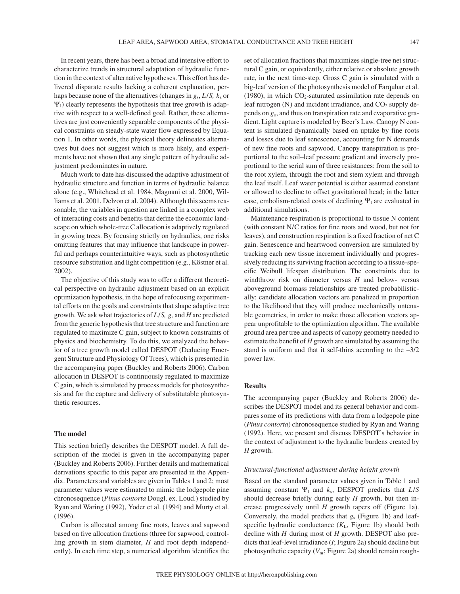In recent years, there has been a broad and intensive effort to characterize trends in structural adaptation of hydraulic function in the context of alternative hypotheses. This effort has delivered disparate results lacking a coherent explanation, perhaps because none of the alternatives (changes in *g*s, *L*/*S, k*<sup>s</sup> or  $\Psi_1$ ) clearly represents the hypothesis that tree growth is adaptive with respect to a well-defined goal. Rather, these alternatives are just conveniently separable components of the physical constraints on steady-state water flow expressed by Equation 1. In other words, the physical theory delineates alternatives but does not suggest which is more likely, and experiments have not shown that any single pattern of hydraulic adjustment predominates in nature.

Much work to date has discussed the adaptive adjustment of hydraulic structure and function in terms of hydraulic balance alone (e.g., Whitehead et al. 1984, Magnani et al. 2000, Williams et al. 2001, Delzon et al. 2004). Although this seems reasonable, the variables in question are linked in a complex web of interacting costs and benefits that define the economic landscape on which whole-tree C allocation is adaptively regulated in growing trees. By focusing strictly on hydraulics, one risks omitting features that may influence that landscape in powerful and perhaps counterintuitive ways, such as photosynthetic resource substitution and light competition (e.g., Köstner et al. 2002).

The objective of this study was to offer a different theoretical perspective on hydraulic adjustment based on an explicit optimization hypothesis, in the hope of refocusing experimental efforts on the goals and constraints that shape adaptive tree growth. We ask what trajectories of *L*/*S, g*<sup>s</sup> and *H* are predicted from the generic hypothesis that tree structure and function are regulated to maximize C gain, subject to known constraints of physics and biochemistry. To do this, we analyzed the behavior of a tree growth model called DESPOT (Deducing Emergent Structure and Physiology Of Trees), which is presented in the accompanying paper (Buckley and Roberts 2006). Carbon allocation in DESPOT is continuously regulated to maximize C gain, which is simulated by process models for photosynthesis and for the capture and delivery of substitutable photosynthetic resources.

# **The model**

This section briefly describes the DESPOT model. A full description of the model is given in the accompanying paper (Buckley and Roberts 2006). Further details and mathematical derivations specific to this paper are presented in the Appendix. Parameters and variables are given in Tables 1 and 2; most parameter values were estimated to mimic the lodgepole pine chronosequence (*Pinus contorta* Dougl. ex. Loud.) studied by Ryan and Waring (1992), Yoder et al. (1994) and Murty et al. (1996).

Carbon is allocated among fine roots, leaves and sapwood based on five allocation fractions (three for sapwood, controlling growth in stem diameter, *H* and root depth independently). In each time step, a numerical algorithm identifies the

set of allocation fractions that maximizes single-tree net structural C gain, or equivalently, either relative or absolute growth rate, in the next time-step. Gross C gain is simulated with a big-leaf version of the photosynthesis model of Farquhar et al. (1980), in which  $CO_2$ -saturated assimilation rate depends on leaf nitrogen  $(N)$  and incident irradiance, and  $CO<sub>2</sub>$  supply depends on *g*s, and thus on transpiration rate and evaporative gradient. Light capture is modeled by Beer's Law. Canopy N content is simulated dynamically based on uptake by fine roots and losses due to leaf senescence, accounting for N demands of new fine roots and sapwood. Canopy transpiration is proportional to the soil–leaf pressure gradient and inversely proportional to the serial sum of three resistances: from the soil to the root xylem, through the root and stem xylem and through the leaf itself. Leaf water potential is either assumed constant or allowed to decline to offset gravitational head; in the latter case, embolism-related costs of declining  $\Psi_1$  are evaluated in additional simulations.

Maintenance respiration is proportional to tissue N content (with constant N/C ratios for fine roots and wood, but not for leaves), and construction respiration is a fixed fraction of net C gain. Senescence and heartwood conversion are simulated by tracking each new tissue increment individually and progressively reducing its surviving fraction according to a tissue-specific Weibull lifespan distribution. The constraints due to windthrow risk on diameter versus *H* and below- versus aboveground biomass relationships are treated probabilistically: candidate allocation vectors are penalized in proportion to the likelihood that they will produce mechanically untenable geometries, in order to make those allocation vectors appear unprofitable to the optimization algorithm. The available ground area per tree and aspects of canopy geometry needed to estimate the benefit of *H* growth are simulated by assuming the stand is uniform and that it self-thins according to the  $-3/2$ power law.

#### **Results**

The accompanying paper (Buckley and Roberts 2006) describes the DESPOT model and its general behavior and compares some of its predictions with data from a lodgepole pine (*Pinus contorta*) chronosequence studied by Ryan and Waring (1992). Here, we present and discuss DESPOT's behavior in the context of adjustment to the hydraulic burdens created by *H* growth.

# *Structural-functional adjustment during height growth*

Based on the standard parameter values given in Table 1 and assuming constant  $\Psi_1$  and  $k_s$ , DESPOT predicts that  $L/S$ should decrease briefly during early *H* growth, but then increase progressively until *H* growth tapers off (Figure 1a). Conversely, the model predicts that *g*<sup>s</sup> (Figure 1b) and leafspecific hydraulic conductance  $(K_L,$  Figure 1b) should both decline with *H* during most of *H* growth. DESPOT also predicts that leaf-level irradiance (*I*; Figure 2a) should decline but photosynthetic capacity  $(V_m;$  Figure 2a) should remain rough-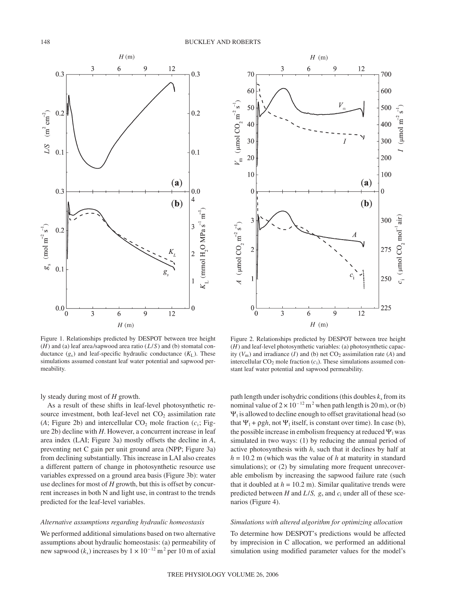

Figure 1. Relationships predicted by DESPOT between tree height (*H*) and (a) leaf area/sapwood area ratio (*L*/*S*) and (b) stomatal conductance  $(g_s)$  and leaf-specific hydraulic conductance  $(K_L)$ . These simulations assumed constant leaf water potential and sapwood permeability.

ly steady during most of *H* growth.

As a result of these shifts in leaf-level photosynthetic resource investment, both leaf-level net  $CO<sub>2</sub>$  assimilation rate  $(A;$  Figure 2b) and intercellular  $CO<sub>2</sub>$  mole fraction  $(c<sub>i</sub>;$  Figure 2b) decline with *H*. However, a concurrent increase in leaf area index (LAI; Figure 3a) mostly offsets the decline in *A*, preventing net C gain per unit ground area (NPP; Figure 3a) from declining substantially. This increase in LAI also creates a different pattern of change in photosynthetic resource use variables expressed on a ground area basis (Figure 3b): water use declines for most of *H* growth, but this is offset by concurrent increases in both N and light use, in contrast to the trends predicted for the leaf-level variables.

#### *Alternative assumptions regarding hydraulic homeostasis*

We performed additional simulations based on two alternative assumptions about hydraulic homeostasis: (a) permeability of new sapwood  $(k_s)$  increases by  $1 \times 10^{-12}$  m<sup>2</sup> per 10 m of axial



Figure 2. Relationships predicted by DESPOT between tree height (*H*) and leaf-level photosynthetic variables: (a) photosynthetic capacity  $(V_m)$  and irradiance (*I*) and (b) net  $CO_2$  assimilation rate (*A*) and intercellular  $CO_2$  mole fraction  $(c_i)$ . These simulations assumed constant leaf water potential and sapwood permeability.

path length under isohydric conditions (this doubles  $k_s$  from its nominal value of  $2 \times 10^{-12}$  m<sup>2</sup> when path length is 20 m), or (b)  $\Psi_1$  is allowed to decline enough to offset gravitational head (so that  $\Psi_1$  +  $\rho gh$ , not  $\Psi_1$  itself, is constant over time). In case (b), the possible increase in embolism frequency at reduced  $\Psi_1$  was simulated in two ways: (1) by reducing the annual period of active photosynthesis with *h*, such that it declines by half at  $h = 10.2$  m (which was the value of  $h$  at maturity in standard simulations); or (2) by simulating more frequent unrecoverable embolism by increasing the sapwood failure rate (such that it doubled at  $h = 10.2$  m). Similar qualitative trends were predicted between *H* and *L*/*S*,  $g_s$  and  $c_i$  under all of these scenarios (Figure 4).

#### *Simulations with altered algorithm for optimizing allocation*

To determine how DESPOT's predictions would be affected by imprecision in C allocation, we performed an additional simulation using modified parameter values for the model's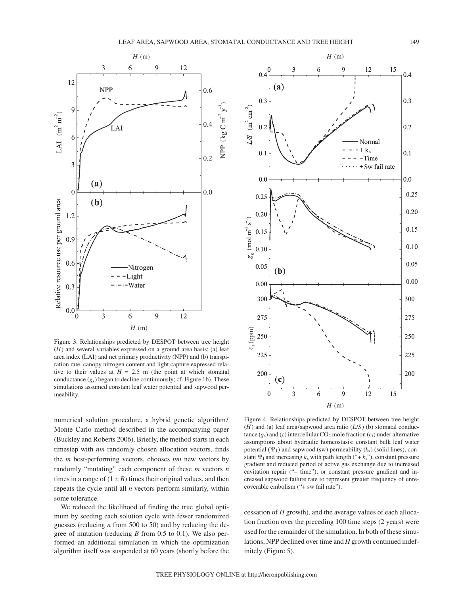

Figure 3. Relationships predicted by DESPOT between tree height (*H*) and several variables expressed on a ground area basis: (a) leaf area index (LAI) and net primary productivity (NPP) and (b) transpiration rate, canopy nitrogen content and light capture expressed relative to their values at  $H = 2.5$  m (the point at which stomatal conductance (*g*s) began to decline continuously; cf. Figure 1b). These simulations assumed constant leaf water potential and sapwood permeability.

numerical solution procedure, a hybrid genetic algorithm/ Monte Carlo method described in the accompanying paper (Buckley and Roberts 2006). Briefly, the method starts in each timestep with *nm* randomly chosen allocation vectors, finds the *m* best-performing vectors, chooses *nm* new vectors by randomly "mutating" each component of these *m* vectors *n* times in a range of  $(1 \pm B)$  times their original values, and then repeats the cycle until all *n* vectors perform similarly, within some tolerance.

We reduced the likelihood of finding the true global optimum by seeding each solution cycle with fewer randomized guesses (reducing *n* from 500 to 50) and by reducing the degree of mutation (reducing *B* from 0.5 to 0.1). We also performed an additional simulation in which the optimization algorithm itself was suspended at 60 years (shortly before the



Figure 4. Relationships predicted by DESPOT between tree height (*H*) and (a) leaf area/sapwood area ratio (*L*/*S*) (b) stomatal conductance  $(g_s)$  and (c) intercellular  $CO_2$  mole fraction  $(c_i)$  under alternative assumptions about hydraulic homeostasis: constant bulk leaf water potential  $(\Psi_1)$  and sapwood (sw) permeability  $(k_s)$  (solid lines), constant  $\Psi_1$  and increasing  $k_s$  with path length ("+ $k_s$ "), constant pressure gradient and reduced period of active gas exchange due to increased cavitation repair ("– time"), or constant pressure gradient and increased sapwood failure rate to represent greater frequency of unrecoverable embolism ("+ sw fail rate").

cessation of *H* growth), and the average values of each allocation fraction over the preceding 100 time steps (2 years) were used for the remainder of the simulation. In both of these simulations, NPP declined over time and *H* growth continued indefinitely (Figure 5).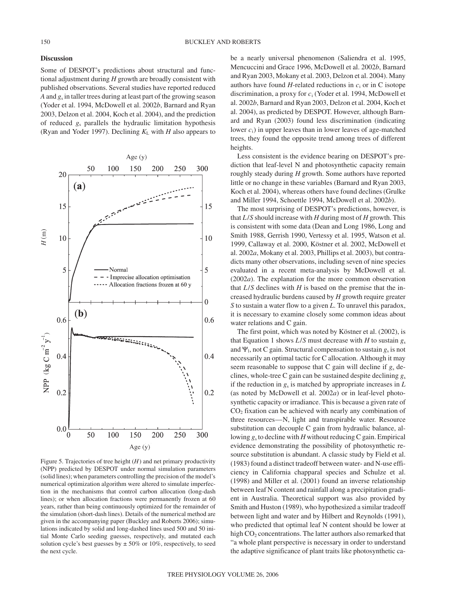# **Discussion**

Some of DESPOT's predictions about structural and functional adjustment during *H* growth are broadly consistent with published observations. Several studies have reported reduced *A* and *g*<sup>s</sup> in taller trees during at least part of the growing season (Yoder et al. 1994, McDowell et al. 2002*b*, Barnard and Ryan 2003, Delzon et al. 2004, Koch et al. 2004), and the prediction of reduced *g*<sup>s</sup> parallels the hydraulic limitation hypothesis (Ryan and Yoder 1997). Declining  $K<sub>L</sub>$  with *H* also appears to



Figure 5. Trajectories of tree height (*H*) and net primary productivity (NPP) predicted by DESPOT under normal simulation parameters (solid lines); when parameters controlling the precision of the model's numerical optimization algorithm were altered to simulate imperfection in the mechanisms that control carbon allocation (long-dash lines); or when allocation fractions were permanently frozen at 60 years, rather than being continuously optimized for the remainder of the simulation (short-dash lines). Details of the numerical method are given in the accompanying paper (Buckley and Roberts 2006); simulations indicated by solid and long-dashed lines used 500 and 50 initial Monte Carlo seeding guesses, respectively, and mutated each solution cycle's best guesses by  $\pm 50\%$  or 10%, respectively, to seed the next cycle.

be a nearly universal phenomenon (Saliendra et al. 1995, Mencuccini and Grace 1996, McDowell et al. 2002*b*, Barnard and Ryan 2003, Mokany et al. 2003, Delzon et al. 2004). Many authors have found *H*-related reductions in  $c_i$  or in C isotope discrimination, a proxy for *c*<sup>i</sup> (Yoder et al. 1994, McDowell et al. 2002*b*, Barnard and Ryan 2003, Delzon et al. 2004, Koch et al. 2004), as predicted by DESPOT. However, although Barnard and Ryan (2003) found less discrimination (indicating lower *c*i) in upper leaves than in lower leaves of age-matched trees, they found the opposite trend among trees of different heights.

Less consistent is the evidence bearing on DESPOT's prediction that leaf-level N and photosynthetic capacity remain roughly steady during *H* growth. Some authors have reported little or no change in these variables (Barnard and Ryan 2003, Koch et al. 2004), whereas others have found declines (Grulke and Miller 1994, Schoettle 1994, McDowell et al. 2002*b*).

The most surprising of DESPOT's predictions, however, is that *L*/*S* should increase with *H* during most of *H* growth. This is consistent with some data (Dean and Long 1986, Long and Smith 1988, Gerrish 1990, Vertessy et al. 1995, Watson et al. 1999, Callaway et al. 2000, Köstner et al. 2002, McDowell et al. 2002*a*, Mokany et al. 2003, Phillips et al. 2003), but contradicts many other observations, including seven of nine species evaluated in a recent meta-analysis by McDowell et al. (2002*a*). The explanation for the more common observation that  $L/S$  declines with  $H$  is based on the premise that the increased hydraulic burdens caused by *H* growth require greater *S* to sustain a water flow to a given *L*. To unravel this paradox, it is necessary to examine closely some common ideas about water relations and C gain.

The first point, which was noted by Köstner et al. (2002), is that Equation 1 shows  $L/S$  must decrease with *H* to sustain  $g_s$ and  $\Psi_1$ , not C gain. Structural compensation to sustain  $g_s$  is not necessarily an optimal tactic for C allocation. Although it may seem reasonable to suppose that C gain will decline if *g*<sup>s</sup> declines, whole-tree C gain can be sustained despite declining *g*<sup>s</sup> if the reduction in  $g_s$  is matched by appropriate increases in  $L$ (as noted by McDowell et al. 2002*a*) or in leaf-level photosynthetic capacity or irradiance. This is because a given rate of  $CO<sub>2</sub>$  fixation can be achieved with nearly any combination of three resources—N, light and transpirable water. Resource substitution can decouple C gain from hydraulic balance, allowing  $g_s$  to decline with *H* without reducing C gain. Empirical evidence demonstrating the possibility of photosynthetic resource substitution is abundant. A classic study by Field et al. (1983) found a distinct tradeoff between water- and N-use efficiency in California chapparal species and Schulze et al. (1998) and Miller et al. (2001) found an inverse relationship between leaf N content and rainfall along a precipitation gradient in Australia. Theoretical support was also provided by Smith and Huston (1989), who hypothesized a similar tradeoff between light and water and by Hilbert and Reynolds (1991), who predicted that optimal leaf N content should be lower at high  $CO<sub>2</sub>$  concentrations. The latter authors also remarked that "a whole plant perspective is necessary in order to understand the adaptive significance of plant traits like photosynthetic ca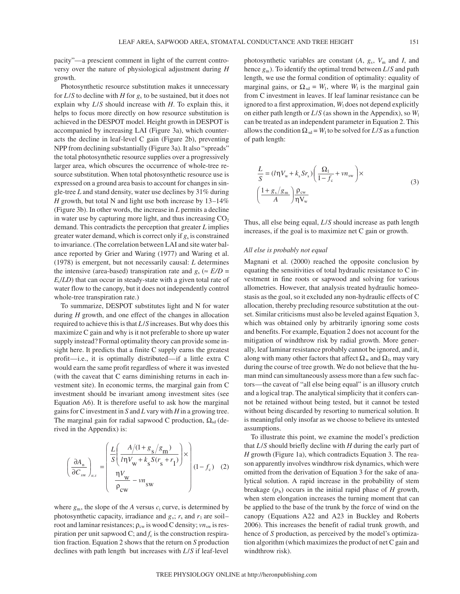pacity"—a prescient comment in light of the current controversy over the nature of physiological adjustment during *H* growth.

Photosynthetic resource substitution makes it unnecessary for  $L/S$  to decline with *H* for  $g_s$  to be sustained, but it does not explain why *L*/*S* should increase with *H*. To explain this, it helps to focus more directly on how resource substitution is achieved in the DESPOT model. Height growth in DESPOT is accompanied by increasing LAI (Figure 3a), which counteracts the decline in leaf-level C gain (Figure 2b), preventing NPP from declining substantially (Figure 3a). It also "spreads" the total photosynthetic resource supplies over a progressively larger area, which obscures the occurrence of whole-tree resource substitution. When total photosynthetic resource use is expressed on a ground area basis to account for changes in single-tree *L* and stand density, water use declines by 31% during *H* growth, but total N and light use both increase by 13–14% (Figure 3b). In other words, the increase in *L* permits a decline in water use by capturing more light, and thus increasing  $CO<sub>2</sub>$ demand. This contradicts the perception that greater *L* implies greater water demand, which is correct only if  $g_s$  is constrained to invariance. (The correlation between LAI and site water balance reported by Grier and Waring (1977) and Waring et al. (1978) is emergent, but not necessarily causal: *L* determines the intensive (area-based) transpiration rate and  $g_s \approx E/D$  =  $E_t$ */LD*) that can occur in steady-state with a given total rate of water flow to the canopy, but it does not independently control whole-tree transpiration rate.)

To summarize, DESPOT substitutes light and N for water during *H* growth, and one effect of the changes in allocation required to achieve this is that *L*/*S* increases. But why does this maximize C gain and why is it not preferable to shore up water supply instead? Formal optimality theory can provide some insight here. It predicts that a finite C supply earns the greatest profit—i.e., it is optimally distributed—if a little extra C would earn the same profit regardless of where it was invested (with the caveat that C earns diminishing returns in each investment site). In economic terms, the marginal gain from C investment should be invariant among investment sites (see Equation A6). It is therefore useful to ask how the marginal gains for C investment in *S* and *L* vary with *H* in a growing tree. The marginal gain for radial sapwood C production,  $\Omega_{sd}$  (derived in the Appendix) is:

$$
\left(\frac{\partial A_{\mathbf{n}}}{\partial C_{\mathbf{s}\mathbf{w}}}\right)_{\mathbf{n}\mathbf{z}} = \begin{pmatrix} \frac{L}{S} \left(\frac{A/(1+g_{\mathbf{s}}/g_{\mathbf{m}})}{l\eta V_{\mathbf{w}} + k_{\mathbf{s}} S(r_{\mathbf{s}} + r_{1})}\right) \times \\ \frac{\eta V_{\mathbf{w}}}{\rho_{\mathbf{c}\mathbf{w}}} - \nu n_{\mathbf{s}\mathbf{w}} \end{pmatrix} (1 - f_{\mathbf{c}}) \quad (2)
$$

where  $g_m$ , the slope of the *A* versus  $c_i$  curve, is determined by photosynthetic capacity, irradiance and  $g_s$ ;  $r_s$  and  $r_1$  are soil– root and laminar resistances;  $ρ_{cw}$  is wood C density; *vn*<sub>sw</sub> is respiration per unit sapwood C; and  $f_c$  is the construction respiration fraction. Equation 2 shows that the return on *S* production declines with path length but increases with *L*/*S* if leaf-level

photosynthetic variables are constant  $(A, g_s, V_m$  and *I*, and hence *g*m). To identify the optimal trend between *L*/*S* and path length, we use the formal condition of optimality: equality of marginal gains, or  $\Omega_{sd} = W_1$ , where  $W_1$  is the marginal gain from C investment in leaves. If leaf laminar resistance can be ignored to a first approximation,  $W_1$  does not depend explicitly on either path length or  $L/S$  (as shown in the Appendix), so  $W_1$ can be treated as an independent parameter in Equation 2. This allows the condition  $\Omega_{sd} = W_1$  to be solved for *L*/*S* as a function of path length:

$$
\frac{L}{S} = (l\eta V_{\rm w} + k_{\rm s} S r_{\rm s}) \left( \frac{\Omega_{\rm l}}{1 - f_{\rm c}} + \nu n_{\rm sw} \right) \times
$$
\n
$$
\left( \frac{1 + g_{\rm s} / g_{\rm m}}{A} \right) \frac{\rho_{\rm cw}}{\eta V_{\rm w}}
$$
\n(3)

Thus, all else being equal, *L*/*S* should increase as path length increases, if the goal is to maximize net C gain or growth.

### *All else is probably not equal*

Magnani et al. (2000) reached the opposite conclusion by equating the sensitivities of total hydraulic resistance to C investment in fine roots or sapwood and solving for various allometries. However, that analysis treated hydraulic homeostasis as the goal, so it excluded any non-hydraulic effects of C allocation, thereby precluding resource substitution at the outset. Similar criticisms must also be leveled against Equation 3, which was obtained only by arbitrarily ignoring some costs and benefits. For example, Equation 2 does not account for the mitigation of windthrow risk by radial growth. More generally, leaf laminar resistance probably cannot be ignored, and it, along with many other factors that affect  $\Omega_w$  and  $\Omega_1$ , may vary during the course of tree growth. We do not believe that the human mind can simultaneously assess more than a few such factors—the caveat of "all else being equal" is an illusory crutch and a logical trap. The analytical simplicity that it confers cannot be retained without being tested, but it cannot be tested without being discarded by resorting to numerical solution. It is meaningful only insofar as we choose to believe its untested assumptions.

To illustrate this point, we examine the model's prediction that *L*/*S* should briefly decline with *H* during the early part of *H* growth (Figure 1a), which contradicts Equation 3. The reason apparently involves windthrow risk dynamics, which were omitted from the derivation of Equation 3 for the sake of analytical solution. A rapid increase in the probability of stem breakage  $(p_b)$  occurs in the initial rapid phase of *H* growth, when stem elongation increases the turning moment that can be applied to the base of the trunk by the force of wind on the canopy (Equations A22 and A23 in Buckley and Roberts 2006). This increases the benefit of radial trunk growth, and hence of *S* production, as perceived by the model's optimization algorithm (which maximizes the product of net C gain and windthrow risk).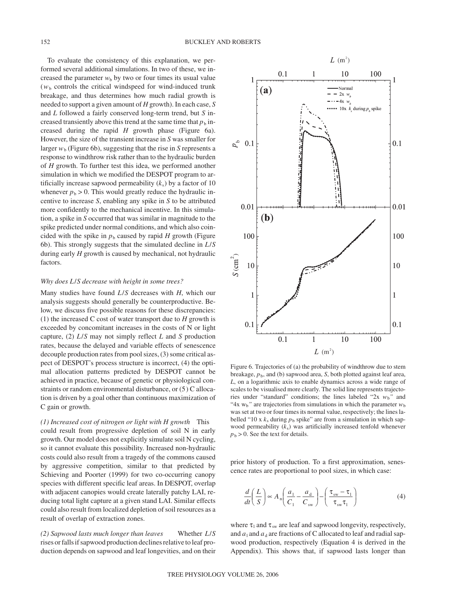To evaluate the consistency of this explanation, we performed several additional simulations. In two of these, we increased the parameter  $w<sub>b</sub>$  by two or four times its usual value  $(w<sub>b</sub>$  controls the critical windspeed for wind-induced trunk breakage, and thus determines how much radial growth is needed to support a given amount of *H* growth). In each case, *S* and *L* followed a fairly conserved long-term trend, but *S* increased transiently above this trend at the same time that  $p<sub>b</sub>$  increased during the rapid *H* growth phase (Figure 6a). However, the size of the transient increase in *S* was smaller for larger  $w<sub>b</sub>$  (Figure 6b), suggesting that the rise in *S* represents a response to windthrow risk rather than to the hydraulic burden of *H* growth. To further test this idea, we performed another simulation in which we modified the DESPOT program to artificially increase sapwood permeability  $(k<sub>s</sub>)$  by a factor of 10 whenever  $p_b > 0$ . This would greatly reduce the hydraulic incentive to increase *S*, enabling any spike in *S* to be attributed more confidently to the mechanical incentive. In this simulation, a spike in *S* occurred that was similar in magnitude to the spike predicted under normal conditions, and which also coincided with the spike in  $p<sub>b</sub>$  caused by rapid *H* growth (Figure 6b). This strongly suggests that the simulated decline in *L*/*S* during early *H* growth is caused by mechanical, not hydraulic factors.

### *Why does L*/*S decrease with height in some trees?*

Many studies have found *L*/*S* decreases with *H*, which our analysis suggests should generally be counterproductive. Below, we discuss five possible reasons for these discrepancies: (1) the increased C cost of water transport due to *H* growth is exceeded by concomitant increases in the costs of N or light capture, (2) *L*/*S* may not simply reflect *L* and *S* production rates, because the delayed and variable effects of senescence decouple production rates from pool sizes, (3) some critical aspect of DESPOT's process structure is incorrect, (4) the optimal allocation patterns predicted by DESPOT cannot be achieved in practice, because of genetic or physiological constraints or random environmental disturbance, or (5) C allocation is driven by a goal other than continuous maximization of C gain or growth.

*(1) Increased cost of nitrogen or light with H growth* This could result from progressive depletion of soil N in early growth. Our model does not explicitly simulate soil N cycling, so it cannot evaluate this possibility. Increased non-hydraulic costs could also result from a tragedy of the commons caused by aggressive competition, similar to that predicted by Schieving and Poorter (1999) for two co-occurring canopy species with different specific leaf areas. In DESPOT, overlap with adjacent canopies would create laterally patchy LAI, reducing total light capture at a given stand LAI. Similar effects could also result from localized depletion of soil resources as a result of overlap of extraction zones.

*(2) Sapwood lasts much longer than leaves* Whether *L*/*S* rises or falls if sapwood production declines relative to leaf production depends on sapwood and leaf longevities, and on their



Figure 6. Trajectories of (a) the probability of windthrow due to stem breakage,  $p<sub>b</sub>$ , and (b) sapwood area, *S*, both plotted against leaf area, *L*, on a logarithmic axis to enable dynamics across a wide range of scales to be visualised more clearly. The solid line represents trajectories under "standard" conditions; the lines labeled "2x  $w_b$ " and "4x  $w_b$ " are trajectories from simulations in which the parameter  $w_b$ was set at two or four times its normal value, respectively; the lines labelled "10 x  $k_s$  during  $p_b$  spike" are from a simulation in which sapwood permeability  $(k<sub>s</sub>)$  was artificially increased tenfold whenever  $p_b$  > 0. See the text for details.

prior history of production. To a first approximation, senescence rates are proportional to pool sizes, in which case:

$$
\frac{d}{dt}\left(\frac{L}{S}\right) \propto A_n \left(\frac{a_1}{C_1} - \frac{a_4}{C_{sw}}\right) - \left(\frac{\tau_{sw} - \tau_1}{\tau_{sw} \tau_1}\right) \tag{4}
$$

where  $\tau_1$  and  $\tau_{sw}$  are leaf and sapwood longevity, respectively, and  $a_1$  and  $a_d$  are fractions of C allocated to leaf and radial sapwood production, respectively (Equation 4 is derived in the Appendix). This shows that, if sapwood lasts longer than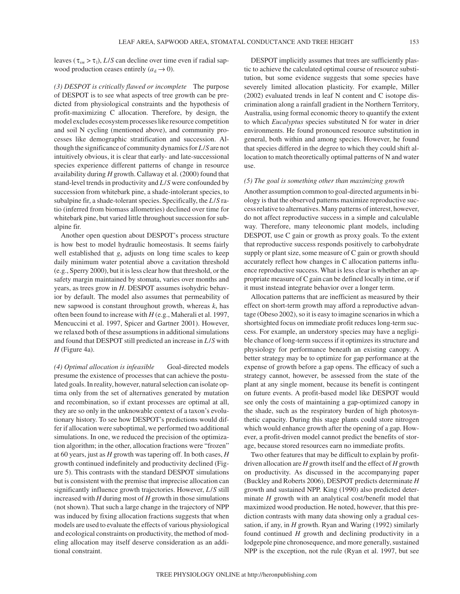leaves ( $\tau_{sw} > \tau_1$ ), *L/S* can decline over time even if radial sapwood production ceases entirely  $(a_d \rightarrow 0)$ .

*(3) DESPOT is critically flawed or incomplete* The purpose of DESPOT is to see what aspects of tree growth can be predicted from physiological constraints and the hypothesis of profit-maximizing C allocation. Therefore, by design, the model excludes ecosystem processes like resource competition and soil N cycling (mentioned above), and community processes like demographic stratification and succession. Although the significance of community dynamics for *L*/*S* are not intuitively obvious, it is clear that early- and late-successional species experience different patterns of change in resource availability during *H* growth. Callaway et al. (2000) found that stand-level trends in productivity and *L*/*S* were confounded by succession from whitebark pine, a shade-intolerant species, to subalpine fir, a shade-tolerant species. Specifically, the *L*/*S* ratio (inferred from biomass allometries) declined over time for whitebark pine, but varied little throughout succession for subalpine fir.

Another open question about DESPOT's process structure is how best to model hydraulic homeostasis. It seems fairly well established that  $g_s$  adjusts on long time scales to keep daily minimum water potential above a cavitation threshold (e.g., Sperry 2000), but it is less clear how that threshold, or the safety margin maintained by stomata, varies over months and years, as trees grow in *H*. DESPOT assumes isohydric behavior by default. The model also assumes that permeability of new sapwood is constant throughout growth, whereas  $k_s$  has often been found to increase with *H* (e.g., Maherali et al. 1997, Mencuccini et al. 1997, Spicer and Gartner 2001). However, we relaxed both of these assumptions in additional simulations and found that DESPOT still predicted an increase in *L*/*S* with *H* (Figure 4a).

*(4) Optimal allocation is infeasible* Goal-directed models presume the existence of processes that can achieve the postulated goals. In reality, however, natural selection can isolate optima only from the set of alternatives generated by mutation and recombination, so if extant processes are optimal at all, they are so only in the unknowable context of a taxon's evolutionary history. To see how DESPOT's predictions would differ if allocation were suboptimal, we performed two additional simulations. In one, we reduced the precision of the optimization algorithm; in the other, allocation fractions were "frozen" at 60 years, just as *H* growth was tapering off. In both cases, *H* growth continued indefinitely and productivity declined (Figure 5). This contrasts with the standard DESPOT simulations but is consistent with the premise that imprecise allocation can significantly influence growth trajectories. However, *L*/*S* still increased with *H* during most of *H* growth in those simulations (not shown). That such a large change in the trajectory of NPP was induced by fixing allocation fractions suggests that when models are used to evaluate the effects of various physiological and ecological constraints on productivity, the method of modeling allocation may itself deserve consideration as an additional constraint.

DESPOT implicitly assumes that trees are sufficiently plastic to achieve the calculated optimal course of resource substitution, but some evidence suggests that some species have severely limited allocation plasticity. For example, Miller (2002) evaluated trends in leaf N content and C isotope discrimination along a rainfall gradient in the Northern Territory, Australia, using formal economic theory to quantify the extent to which *Eucalyptus* species substituted N for water in drier environments. He found pronounced resource substitution in general, both within and among species. However, he found that species differed in the degree to which they could shift allocation to match theoretically optimal patterns of N and water use.

# *(5) The goal is something other than maximizing growth*

Another assumption common to goal-directed arguments in biology is that the observed patterns maximize reproductive success relative to alternatives. Many patterns of interest, however, do not affect reproductive success in a simple and calculable way. Therefore, many teleonomic plant models, including DESPOT, use C gain or growth as proxy goals. To the extent that reproductive success responds positively to carbohydrate supply or plant size, some measure of C gain or growth should accurately reflect how changes in C allocation patterns influence reproductive success. What is less clear is whether an appropriate measure of C gain can be defined locally in time, or if it must instead integrate behavior over a longer term.

Allocation patterns that are inefficient as measured by their effect on short-term growth may afford a reproductive advantage (Obeso 2002), so it is easy to imagine scenarios in which a shortsighted focus on immediate profit reduces long-term success. For example, an understory species may have a negligible chance of long-term success if it optimizes its structure and physiology for performance beneath an existing canopy. A better strategy may be to optimize for gap performance at the expense of growth before a gap opens. The efficacy of such a strategy cannot, however, be assessed from the state of the plant at any single moment, because its benefit is contingent on future events. A profit-based model like DESPOT would see only the costs of maintaining a gap-optimized canopy in the shade, such as the respiratory burden of high photosynthetic capacity. During this stage plants could store nitrogen which would enhance growth after the opening of a gap. However, a profit-driven model cannot predict the benefits of storage, because stored resources earn no immediate profits.

Two other features that may be difficult to explain by profitdriven allocation are *H* growth itself and the effect of *H* growth on productivity. As discussed in the accompanying paper (Buckley and Roberts 2006), DESPOT predicts determinate *H* growth and sustained NPP. King (1990) also predicted determinate *H* growth with an analytical cost/benefit model that maximized wood production. He noted, however, that this prediction contrasts with many data showing only a gradual cessation, if any, in *H* growth. Ryan and Waring (1992) similarly found continued *H* growth and declining productivity in a lodgepole pine chronosequence, and more generally, sustained NPP is the exception, not the rule (Ryan et al. 1997, but see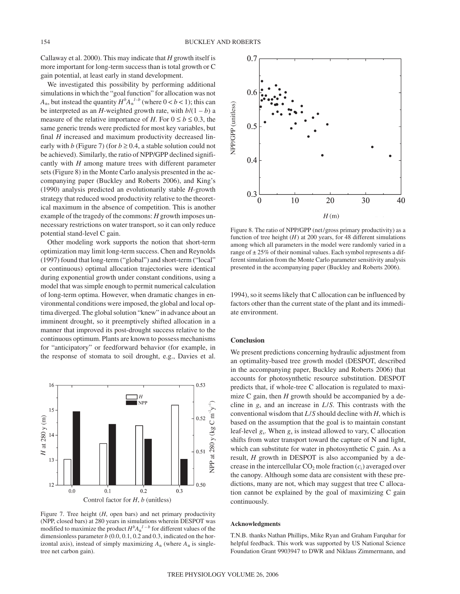Callaway et al. 2000). This may indicate that *H* growth itself is more important for long-term success than is total growth or C gain potential, at least early in stand development.

We investigated this possibility by performing additional simulations in which the "goal function" for allocation was not *A*<sub>n</sub>, but instead the quantity  $H^b A_n^{1-b}$  (where  $0 < b < 1$ ); this can be interpreted as an *H*-weighted growth rate, with  $b/(1 - b)$  a measure of the relative importance of *H*. For  $0 \le b \le 0.3$ , the same generic trends were predicted for most key variables, but final *H* increased and maximum productivity decreased linearly with *b* (Figure 7) (for  $b \ge 0.4$ , a stable solution could not be achieved). Similarly, the ratio of NPP/GPP declined significantly with *H* among mature trees with different parameter sets (Figure 8) in the Monte Carlo analysis presented in the accompanying paper (Buckley and Roberts 2006), and King's (1990) analysis predicted an evolutionarily stable *H*-growth strategy that reduced wood productivity relative to the theoretical maximum in the absence of competition. This is another example of the tragedy of the commons: *H* growth imposes unnecessary restrictions on water transport, so it can only reduce potential stand-level C gain.

Other modeling work supports the notion that short-term optimization may limit long-term success. Chen and Reynolds (1997) found that long-term ("global") and short-term ("local" or continuous) optimal allocation trajectories were identical during exponential growth under constant conditions, using a model that was simple enough to permit numerical calculation of long-term optima. However, when dramatic changes in environmental conditions were imposed, the global and local optima diverged. The global solution "knew" in advance about an imminent drought, so it preemptively shifted allocation in a manner that improved its post-drought success relative to the continuous optimum. Plants are known to possess mechanisms for "anticipatory" or feedforward behavior (for example, in the response of stomata to soil drought, e.g., Davies et al.



Figure 7. Tree height (*H*, open bars) and net primary productivity (NPP, closed bars) at 280 years in simulations wherein DESPOT was modified to maximize the product  $H^b A_n^{\ l-b}$  for different values of the dimensionless parameter *b* (0.0, 0.1, 0.2 and 0.3, indicated on the horizontal axis), instead of simply maximizing  $A_n$  (where  $A_n$  is singletree net carbon gain).



Figure 8. The ratio of NPP/GPP (net/gross primary productivity) as a function of tree height  $(H)$  at 200 years, for 48 different simulations among which all parameters in the model were randomly varied in a range of  $\pm 25\%$  of their nominal values. Each symbol represents a different simulation from the Monte Carlo parameter sensitivity analysis presented in the accompanying paper (Buckley and Roberts 2006).

1994), so it seems likely that C allocation can be influenced by factors other than the current state of the plant and its immediate environment.

#### **Conclusion**

We present predictions concerning hydraulic adjustment from an optimality-based tree growth model (DESPOT, described in the accompanying paper, Buckley and Roberts 2006) that accounts for photosynthetic resource substitution. DESPOT predicts that, if whole-tree C allocation is regulated to maximize C gain, then *H* growth should be accompanied by a decline in *g*<sup>s</sup> and an increase in *L*/*S*. This contrasts with the conventional wisdom that *L*/*S* should decline with *H*, which is based on the assumption that the goal is to maintain constant leaf-level  $g_s$ . When  $g_s$  is instead allowed to vary, C allocation shifts from water transport toward the capture of N and light, which can substitute for water in photosynthetic C gain. As a result, *H* growth in DESPOT is also accompanied by a decrease in the intercellular  $CO<sub>2</sub>$  mole fraction  $(c<sub>i</sub>)$  averaged over the canopy. Although some data are consistent with these predictions, many are not, which may suggest that tree C allocation cannot be explained by the goal of maximizing C gain continuously.

### **Acknowledgments**

T.N.B. thanks Nathan Phillips, Mike Ryan and Graham Farquhar for helpful feedback. This work was supported by US National Science Foundation Grant 9903947 to DWR and Niklaus Zimmermann, and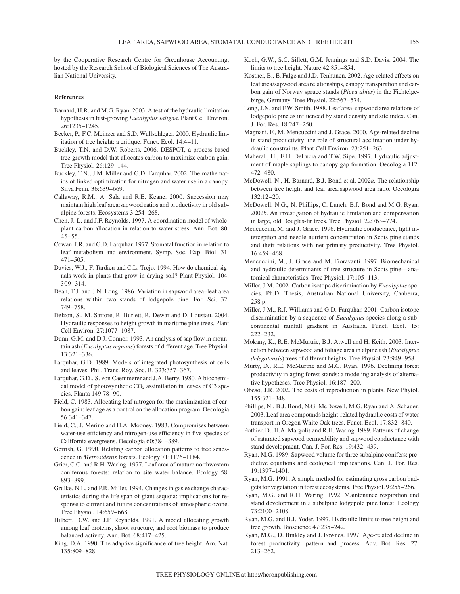by the Cooperative Research Centre for Greenhouse Accounting, hosted by the Research School of Biological Sciences of The Australian National University.

#### **References**

- Barnard, H.R. and M.G. Ryan. 2003. A test of the hydraulic limitation hypothesis in fast-growing *Eucalyptus saligna*. Plant Cell Environ. 26:1235–1245.
- Becker, P., F.C. Meinzer and S.D. Wullschleger. 2000. Hydraulic limitation of tree height: a critique. Funct. Ecol. 14:4–11.
- Buckley, T.N. and D.W. Roberts. 2006. DESPOT, a process-based tree growth model that allocates carbon to maximize carbon gain. Tree Physiol. 26:129–144.
- Buckley, T.N., J.M. Miller and G.D. Farquhar. 2002. The mathematics of linked optimization for nitrogen and water use in a canopy. Silva Fenn. 36:639–669.
- Callaway, R.M., A. Sala and R.E. Keane. 2000. Succession may maintain high leaf area:sapwood ratios and productivity in old subalpine forests. Ecosystems 3:254–268.
- Chen, J.-L. and J.F. Reynolds. 1997. A coordination model of wholeplant carbon allocation in relation to water stress. Ann. Bot. 80:  $45 - 55$ .
- Cowan, I.R. and G.D. Farquhar. 1977. Stomatal function in relation to leaf metabolism and environment. Symp. Soc. Exp. Biol. 31: 471–505.
- Davies, W.J., F. Tardieu and C.L. Trejo. 1994. How do chemical signals work in plants that grow in drying soil? Plant Physiol. 104: 309–314.
- Dean, T.J. and J.N. Long. 1986. Variation in sapwood area–leaf area relations within two stands of lodgepole pine. For. Sci. 32: 749–758.
- Delzon, S., M. Sartore, R. Burlett, R. Dewar and D. Loustau. 2004. Hydraulic responses to height growth in maritime pine trees. Plant Cell Environ. 27:1077–1087.
- Dunn, G.M. and D.J. Connor. 1993. An analysis of sap flow in mountain ash (*Eucalyptus regnans*) forests of different age. Tree Physiol. 13:321–336.
- Farquhar, G.D. 1989. Models of integrated photosynthesis of cells and leaves. Phil. Trans. Roy. Soc. B. 323:357–367.

Farquhar, G.D., S. von Caemmerer and J.A. Berry. 1980. A biochemical model of photosynthetic  $CO<sub>2</sub>$  assimilation in leaves of C3 species. Planta 149:78–90.

Field, C. 1983. Allocating leaf nitrogen for the maximization of carbon gain: leaf age as a control on the allocation program. Oecologia 56:341–347.

Field, C., J. Merino and H.A. Mooney. 1983. Compromises between water-use efficiency and nitrogen-use efficiency in five species of California evergreens. Oecologia 60:384–389.

Gerrish, G. 1990. Relating carbon allocation patterns to tree senescence in *Metrosideros* forests. Ecology 71:1176–1184.

Grier, C.C. and R.H. Waring. 1977. Leaf area of mature northwestern coniferous forests: relation to site water balance. Ecology 58: 893–899.

Grulke, N.E. and P.R. Miller. 1994. Changes in gas exchange characteristics during the life span of giant sequoia: implications for response to current and future concentrations of atmospheric ozone. Tree Physiol. 14:659–668.

- Hilbert, D.W. and J.F. Reynolds. 1991. A model allocating growth among leaf proteins, shoot structure, and root biomass to produce balanced activity. Ann. Bot. 68:417–425.
- King, D.A. 1990. The adaptive significance of tree height. Am. Nat. 135:809–828.
- Koch, G.W., S.C. Sillett, G.M. Jennings and S.D. Davis. 2004. The limits to tree height. Nature 42:851–854.
- Köstner, B., E. Falge and J.D. Tenhunen. 2002. Age-related effects on leaf area/sapwood area relationships, canopy transpiration and carbon gain of Norway spruce stands (*Picea abies*) in the Fichtelgebirge, Germany. Tree Physiol. 22:567–574.
- Long, J.N. and F.W. Smith. 1988. Leaf area–sapwood area relations of lodgepole pine as influenced by stand density and site index. Can. J. For. Res. 18:247–250.
- Magnani, F., M. Mencuccini and J. Grace. 2000. Age-related decline in stand productivity: the role of structural acclimation under hydraulic constraints. Plant Cell Environ. 23:251–263.
- Maherali, H., E.H. DeLucia and T.W. Sipe. 1997. Hydraulic adjustment of maple saplings to canopy gap formation. Oecologia 112: 472–480.
- McDowell, N., H. Barnard, B.J. Bond et al. 2002*a*. The relationship between tree height and leaf area:sapwood area ratio. Oecologia 132:12–20.
- McDowell, N.G., N. Phillips, C. Lunch, B.J. Bond and M.G. Ryan. 2002*b*. An investigation of hydraulic limitation and compensation in large, old Douglas-fir trees. Tree Physiol. 22:763–774.
- Mencuccini, M. and J. Grace. 1996. Hydraulic conductance, light interception and needle nutrient concentration in Scots pine stands and their relations with net primary productivity. Tree Physiol. 16:459–468.
- Mencuccini, M., J. Grace and M. Fioravanti. 1997. Biomechanical and hydraulic determinants of tree structure in Scots pine—anatomical characteristics. Tree Physiol. 17:105–113.
- Miller, J.M. 2002. Carbon isotope discrimination by *Eucalyptus* species. Ph.D. Thesis, Australian National University, Canberra, 258 p.
- Miller, J.M., R.J. Williams and G.D. Farquhar. 2001. Carbon isotope discrimination by a sequence of *Eucalyptus* species along a subcontinental rainfall gradient in Australia. Funct. Ecol. 15: 222–232.
- Mokany, K., R.E. McMurtrie, B.J. Atwell and H. Keith. 2003. Interaction between sapwood and foliage area in alpine ash (*Eucalyptus delegatensis*) trees of different heights. Tree Physiol. 23:949–958.
- Murty, D., R.E. McMurtrie and M.G. Ryan. 1996. Declining forest productivity in aging forest stands: a modeling analysis of alternative hypotheses. Tree Physiol. 16:187–200.
- Obeso, J.R. 2002. The costs of reproduction in plants. New Phytol. 155:321–348.
- Phillips, N., B.J. Bond, N.G. McDowell, M.G. Ryan and A. Schauer. 2003. Leaf area compounds height-related hydraulic costs of water transport in Oregon White Oak trees. Funct. Ecol. 17:832–840.
- Pothier, D., H.A. Margolis and R.H. Waring. 1989. Patterns of change of saturated sapwood permeability and sapwood conductance with stand development. Can. J. For. Res. 19:432–439.
- Ryan, M.G. 1989. Sapwood volume for three subalpine conifers: predictive equations and ecological implications. Can. J. For. Res. 19:1397–1401.
- Ryan, M.G. 1991. A simple method for estimating gross carbon budgets for vegetation in forest ecosystems. Tree Physiol. 9:255–266.
- Ryan, M.G. and R.H. Waring. 1992. Maintenance respiration and stand development in a subalpine lodgepole pine forest. Ecology 73:2100–2108.
- Ryan, M.G. and B.J. Yoder. 1997. Hydraulic limits to tree height and tree growth. Bioscience 47:235–242.
- Ryan, M.G., D. Binkley and J. Fownes. 1997. Age-related decline in forest productivity: pattern and process. Adv. Bot. Res. 27: 213–262.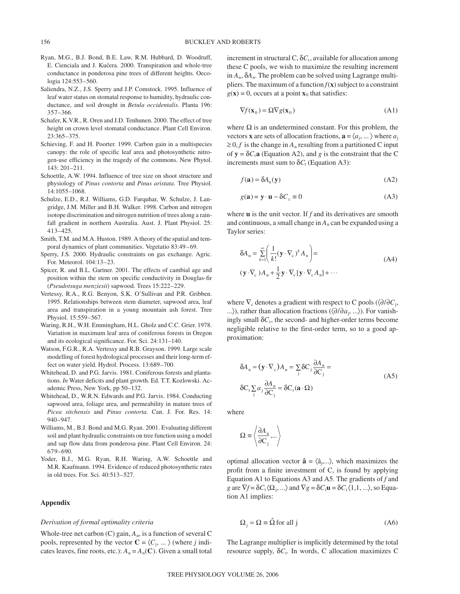- Ryan, M.G., B.J. Bond, B.E. Law, R.M. Hubbard, D. Woodruff, E. Cienciala and J. Kuèera. 2000. Transpiration and whole-tree conductance in ponderosa pine trees of different heights. Oecologia 124:553–560.
- Saliendra, N.Z., J.S. Sperry and J.P. Comstock. 1995. Influence of leaf water status on stomatal response to humidity, hydraulic conductance, and soil drought in *Betula occidentalis*. Planta 196: 357–366.
- Schafer, K.V.R., R. Oren and J.D. Tenhunen. 2000. The effect of tree height on crown level stomatal conductance. Plant Cell Environ. 23:365–375.
- Schieving, F. and H. Poorter. 1999. Carbon gain in a multispecies canopy: the role of specific leaf area and photosynthetic nitrogen-use efficiency in the tragedy of the commons. New Phytol. 143: 201–211.
- Schoettle, A.W. 1994. Influence of tree size on shoot structure and physiology of *Pinus contorta* and *Pinus aristata*. Tree Physiol. 14:1055–1068.
- Schulze, E.D., R.J. Williams, G.D. Farquhar, W. Schulze, J. Langridge, J.M. Miller and B.H. Walker. 1998. Carbon and nitrogen isotope discrimination and nitrogen nutrition of trees along a rainfall gradient in northern Australia. Aust. J. Plant Physiol. 25: 413–425.
- Smith, T.M. and M.A. Huston. 1989. A theory of the spatial and temporal dynamics of plant communities. Vegetatio 83:49–69.
- Sperry, J.S. 2000. Hydraulic constraints on gas exchange. Agric. For. Meteorol. 104:13–23.
- Spicer, R. and B.L. Gartner. 2001. The effects of cambial age and position within the stem on specific conductivity in Douglas-fir (*Pseudotsuga menziesii*) sapwood. Trees 15:222–229.
- Vertessy, R.A., R.G. Benyon, S.K. O'Sullivan and P.R. Gribben. 1995. Relationships between stem diameter, sapwood area, leaf area and transpiration in a young mountain ash forest. Tree Physiol. 15:559–567.
- Waring, R.H., W.H. Emmingham, H.L. Gholz and C.C. Grier. 1978. Variation in maximum leaf area of coniferous forests in Oregon and its ecological significance. For. Sci. 24:131–140.
- Watson, F.G.R., R.A. Vertessy and R.B. Grayson. 1999. Large scale modelling of forest hydrological processes and their long-term effect on water yield. Hydrol. Process. 13:689–700.
- Whitehead, D. and P.G. Jarvis. 1981. Coniferous forests and plantations. *In* Water deficits and plant growth. Ed. T.T. Kozlowski. Academic Press, New York, pp 50–132.
- Whitehead, D., W.R.N. Edwards and P.G. Jarvis. 1984. Conducting sapwood area, foliage area, and permeability in mature trees of *Picea sitchensis* and *Pinus contorta*. Can. J. For. Res. 14: 940–947.
- Williams, M., B.J. Bond and M.G. Ryan. 2001. Evaluating different soil and plant hydraulic constraints on tree function using a model and sap flow data from ponderosa pine. Plant Cell Environ. 24: 679–690.
- Yoder, B.J., M.G. Ryan, R.H. Waring, A.W. Schoettle and M.R. Kaufmann. 1994. Evidence of reduced photosynthetic rates in old trees. For. Sci. 40:513–527.

# **Appendix**

#### *Derivation of formal optimality criteria*

Whole-tree net carbon (C) gain, *A*n, is a function of several C pools, represented by the vector  $\mathbf{C} = \langle C_j, \dots \rangle$  (where *j* indicates leaves, fine roots, etc.):  $A_n = A_n(C)$ . Given a small total increment in structural C,  $\delta C_t$ , available for allocation among these C pools, we wish to maximize the resulting increment in *A*n, δ*A*n. The problem can be solved using Lagrange multipliers. The maximum of a function  $f(x)$  subject to a constraint  $g(\mathbf{x}) = 0$ , occurs at a point  $\mathbf{x}_0$  that satisfies:

$$
\nabla f(\mathbf{x}_0) = \Omega \nabla g(\mathbf{x}_0)
$$
 (A1)

where  $\Omega$  is an undetermined constant. For this problem, the vectors **x** are sets of allocation fractions,  $\mathbf{a} = \langle a_i, \dots \rangle$  where  $a_i$  $\geq 0, f$  is the change in  $A_n$  resulting from a partitioned C input of  $y = \delta C_t a$  (Equation A2), and *g* is the constraint that the C increments must sum to  $\delta C_t$  (Equation A3):

$$
f(\mathbf{a}) = \delta A_n(\mathbf{y})
$$
 (A2)

$$
g(\mathbf{a}) = \mathbf{y} \cdot \mathbf{u} - \delta C_t \equiv 0 \tag{A3}
$$

where **u** is the unit vector. If *f* and its derivatives are smooth and continuous, a small change in *A*<sup>n</sup> can be expanded using a Taylor series:

$$
\delta A_n = \sum_{k=1}^{\infty} \left( \frac{1}{k!} (\mathbf{y} \cdot \nabla_{\mathbf{c}})^k A_n \right) =
$$
\n
$$
(\mathbf{y} \cdot \nabla_{\mathbf{c}}) A_n + \frac{1}{2} \mathbf{y} \cdot \nabla_{\mathbf{c}} [\mathbf{y} \cdot \nabla_{\mathbf{c}} A_n] + \cdots
$$
\n(A4)

where  $\nabla_c$  denotes a gradient with respect to C pools ( $\langle \partial/\partial C_i,$ ...〉), rather than allocation fractions (〈∂/∂*a*j, ...〉). For vanishingly small  $\delta C_t$ , the second- and higher-order terms become negligible relative to the first-order term, so to a good approximation:

$$
\delta A_n \approx (\mathbf{y} \cdot \nabla_c) A_n = \sum_j \delta C_j \frac{\partial A_n}{\partial C_j} =
$$
  

$$
\delta C_t \sum_j a_j \frac{\partial A_n}{\partial C_j} = \delta C_t (\mathbf{a} \cdot \Omega)
$$
 (A5)

where

$$
\Omega \equiv \left\langle \frac{\partial A_{\mathbf{n}}}{\partial \mathbf{C}_{\mathbf{j}}}, \dots \right\rangle
$$

optimal allocation vector  $\hat{\mathbf{a}} = \langle \hat{a}_1, \dots \rangle$ , which maximizes the profit from a finite investment of C, is found by applying Equation A1 to Equations A3 and A5. The gradients of *f* and *g* are  $\nabla f = \delta C_t \langle \Omega_i, \ldots \rangle$  and  $\nabla g = \delta C_t \mathbf{u} = \delta C_t \langle 1, 1, \ldots \rangle$ , so Equation A1 implies:

$$
\Omega_{j} = \Omega \equiv \hat{\Omega} \text{ for all } j \tag{A6}
$$

The Lagrange multiplier is implicitly determined by the total resource supply,  $δC_t$ . In words, C allocation maximizes C